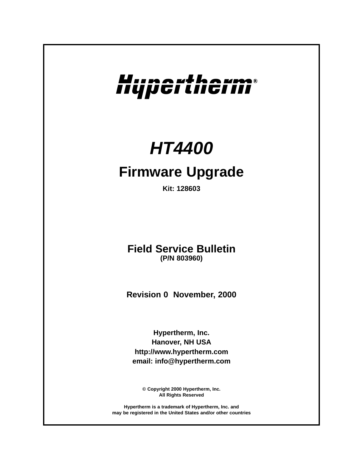# Hupertherm®

## **HT4400**

### **Firmware Upgrade**

**Kit: 128603**

**Field Service Bulletin (P/N 803960)**

**Revision 0 November, 2000**

**Hypertherm, Inc. Hanover, NH USA http://www.hypertherm.com email: info@hypertherm.com**

**© Copyright 2000 Hypertherm, Inc. All Rights Reserved**

**Hypertherm is a trademark of Hypertherm, Inc. and may be registered in the United States and/or other countries**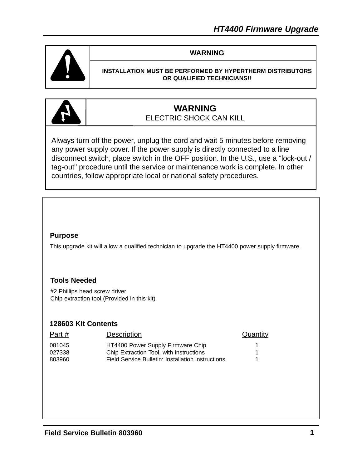

#### **WARNING**

#### **INSTALLATION MUST BE PERFORMED BY HYPERTHERM DISTRIBUTORS OR QUALIFIED TECHNICIANS!!**



#### **WARNING** ELECTRIC SHOCK CAN KILL

Always turn off the power, unplug the cord and wait 5 minutes before removing any power supply cover. If the power supply is directly connected to a line disconnect switch, place switch in the OFF position. In the U.S., use a "lock-out / tag-out" procedure until the service or maintenance work is complete. In other countries, follow appropriate local or national safety procedures.

#### **Purpose**

This upgrade kit will allow a qualified technician to upgrade the HT4400 power supply firmware.

#### **Tools Needed**

#2 Phillips head screw driver Chip extraction tool (Provided in this kit)

#### **128603 Kit Contents**

| Part # | <b>Description</b>                                | <b>Quantity</b> |
|--------|---------------------------------------------------|-----------------|
| 081045 | HT4400 Power Supply Firmware Chip                 |                 |
| 027338 | Chip Extraction Tool, with instructions           |                 |
| 803960 | Field Service Bulletin: Installation instructions |                 |